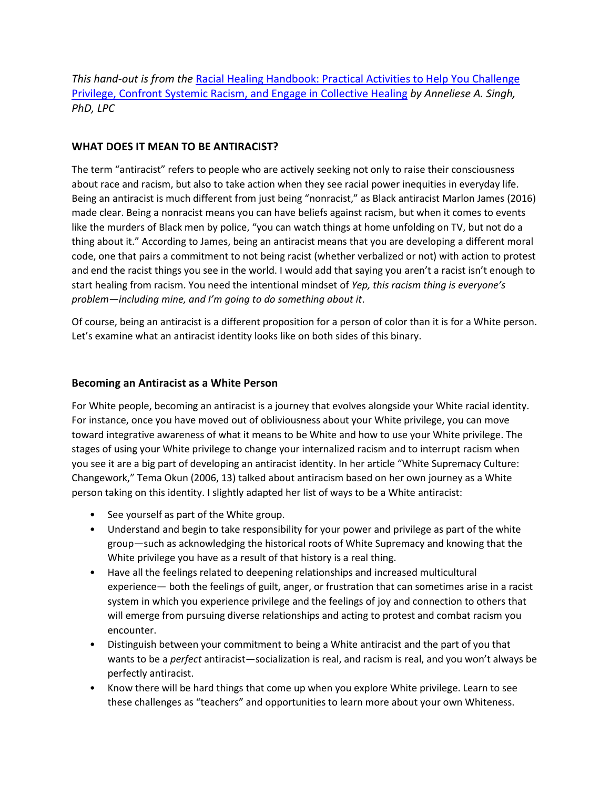*This hand-out is from the* [Racial Healing Handbook: Practical Activities to Help You Challenge](https://nam02.safelinks.protection.outlook.com/?url=https%3A%2F%2Fwww.newharbinger.com%2Fracial-healing-handbook&data=02%7C01%7CHindleyA%40si.edu%7C532126d31df944c9f87908d749aada9f%7C989b5e2a14e44efe93b78cdd5fc5d11c%7C0%7C0%7C637058870486070778&sdata=dd6OXpjzszYqC1AkU64rjOHSZvmEtvHJmtS0CEz41Y8%3D&reserved=0)  [Privilege, Confront Systemic Racism, and Engage in Collective Healing](https://nam02.safelinks.protection.outlook.com/?url=https%3A%2F%2Fwww.newharbinger.com%2Fracial-healing-handbook&data=02%7C01%7CHindleyA%40si.edu%7C532126d31df944c9f87908d749aada9f%7C989b5e2a14e44efe93b78cdd5fc5d11c%7C0%7C0%7C637058870486070778&sdata=dd6OXpjzszYqC1AkU64rjOHSZvmEtvHJmtS0CEz41Y8%3D&reserved=0) *by Anneliese A. Singh, PhD, LPC*

## **WHAT DOES IT MEAN TO BE ANTIRACIST?**

The term "antiracist" refers to people who are actively seeking not only to raise their consciousness about race and racism, but also to take action when they see racial power inequities in everyday life. Being an antiracist is much different from just being "nonracist," as Black antiracist Marlon James (2016) made clear. Being a nonracist means you can have beliefs against racism, but when it comes to events like the murders of Black men by police, "you can watch things at home unfolding on TV, but not do a thing about it." According to James, being an antiracist means that you are developing a different moral code, one that pairs a commitment to not being racist (whether verbalized or not) with action to protest and end the racist things you see in the world. I would add that saying you aren't a racist isn't enough to start healing from racism. You need the intentional mindset of *Yep, this racism thing is everyone's problem—including mine, and I'm going to do something about it*.

Of course, being an antiracist is a different proposition for a person of color than it is for a White person. Let's examine what an antiracist identity looks like on both sides of this binary.

## **Becoming an Antiracist as a White Person**

For White people, becoming an antiracist is a journey that evolves alongside your White racial identity. For instance, once you have moved out of obliviousness about your White privilege, you can move toward integrative awareness of what it means to be White and how to use your White privilege. The stages of using your White privilege to change your internalized racism and to interrupt racism when you see it are a big part of developing an antiracist identity. In her article "White Supremacy Culture: Changework," Tema Okun (2006, 13) talked about antiracism based on her own journey as a White person taking on this identity. I slightly adapted her list of ways to be a White antiracist:

- See yourself as part of the White group.
- Understand and begin to take responsibility for your power and privilege as part of the white group—such as acknowledging the historical roots of White Supremacy and knowing that the White privilege you have as a result of that history is a real thing.
- Have all the feelings related to deepening relationships and increased multicultural experience— both the feelings of guilt, anger, or frustration that can sometimes arise in a racist system in which you experience privilege and the feelings of joy and connection to others that will emerge from pursuing diverse relationships and acting to protest and combat racism you encounter.
- Distinguish between your commitment to being a White antiracist and the part of you that wants to be a *perfect* antiracist—socialization is real, and racism is real, and you won't always be perfectly antiracist.
- Know there will be hard things that come up when you explore White privilege. Learn to see these challenges as "teachers" and opportunities to learn more about your own Whiteness.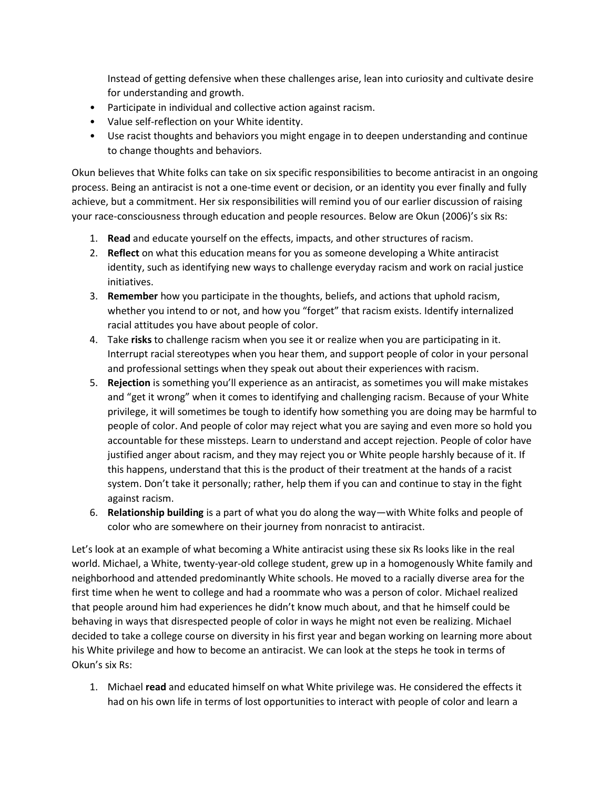Instead of getting defensive when these challenges arise, lean into curiosity and cultivate desire for understanding and growth.

- Participate in individual and collective action against racism.
- Value self-reflection on your White identity.
- Use racist thoughts and behaviors you might engage in to deepen understanding and continue to change thoughts and behaviors.

Okun believes that White folks can take on six specific responsibilities to become antiracist in an ongoing process. Being an antiracist is not a one-time event or decision, or an identity you ever finally and fully achieve, but a commitment. Her six responsibilities will remind you of our earlier discussion of raising your race-consciousness through education and people resources. Below are Okun (2006)'s six Rs:

- 1. **Read** and educate yourself on the effects, impacts, and other structures of racism.
- 2. **Reflect** on what this education means for you as someone developing a White antiracist identity, such as identifying new ways to challenge everyday racism and work on racial justice initiatives.
- 3. **Remember** how you participate in the thoughts, beliefs, and actions that uphold racism, whether you intend to or not, and how you "forget" that racism exists. Identify internalized racial attitudes you have about people of color.
- 4. Take **risks** to challenge racism when you see it or realize when you are participating in it. Interrupt racial stereotypes when you hear them, and support people of color in your personal and professional settings when they speak out about their experiences with racism.
- 5. **Rejection** is something you'll experience as an antiracist, as sometimes you will make mistakes and "get it wrong" when it comes to identifying and challenging racism. Because of your White privilege, it will sometimes be tough to identify how something you are doing may be harmful to people of color. And people of color may reject what you are saying and even more so hold you accountable for these missteps. Learn to understand and accept rejection. People of color have justified anger about racism, and they may reject you or White people harshly because of it. If this happens, understand that this is the product of their treatment at the hands of a racist system. Don't take it personally; rather, help them if you can and continue to stay in the fight against racism.
- 6. **Relationship building** is a part of what you do along the way—with White folks and people of color who are somewhere on their journey from nonracist to antiracist.

Let's look at an example of what becoming a White antiracist using these six Rs looks like in the real world. Michael, a White, twenty-year-old college student, grew up in a homogenously White family and neighborhood and attended predominantly White schools. He moved to a racially diverse area for the first time when he went to college and had a roommate who was a person of color. Michael realized that people around him had experiences he didn't know much about, and that he himself could be behaving in ways that disrespected people of color in ways he might not even be realizing. Michael decided to take a college course on diversity in his first year and began working on learning more about his White privilege and how to become an antiracist. We can look at the steps he took in terms of Okun's six Rs:

1. Michael **read** and educated himself on what White privilege was. He considered the effects it had on his own life in terms of lost opportunities to interact with people of color and learn a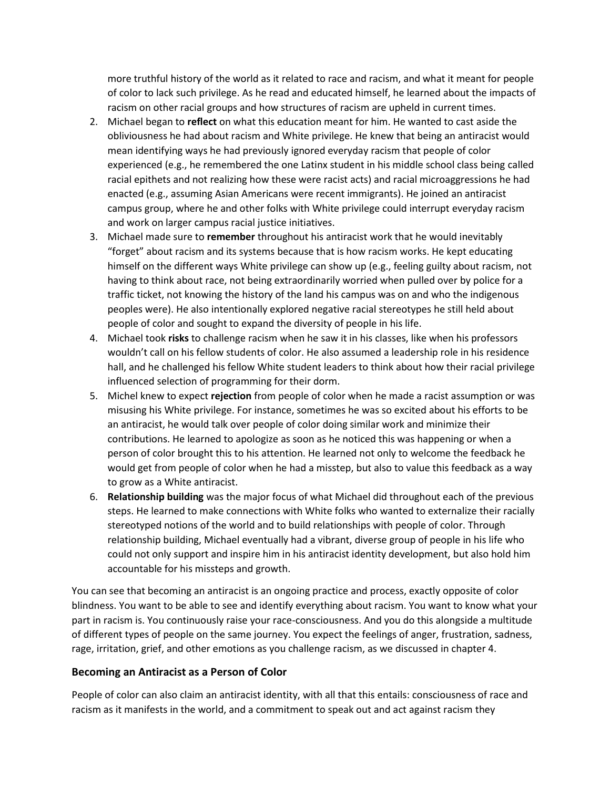more truthful history of the world as it related to race and racism, and what it meant for people of color to lack such privilege. As he read and educated himself, he learned about the impacts of racism on other racial groups and how structures of racism are upheld in current times.

- 2. Michael began to **reflect** on what this education meant for him. He wanted to cast aside the obliviousness he had about racism and White privilege. He knew that being an antiracist would mean identifying ways he had previously ignored everyday racism that people of color experienced (e.g., he remembered the one Latinx student in his middle school class being called racial epithets and not realizing how these were racist acts) and racial microaggressions he had enacted (e.g., assuming Asian Americans were recent immigrants). He joined an antiracist campus group, where he and other folks with White privilege could interrupt everyday racism and work on larger campus racial justice initiatives.
- 3. Michael made sure to **remember** throughout his antiracist work that he would inevitably "forget" about racism and its systems because that is how racism works. He kept educating himself on the different ways White privilege can show up (e.g., feeling guilty about racism, not having to think about race, not being extraordinarily worried when pulled over by police for a traffic ticket, not knowing the history of the land his campus was on and who the indigenous peoples were). He also intentionally explored negative racial stereotypes he still held about people of color and sought to expand the diversity of people in his life.
- 4. Michael took **risks** to challenge racism when he saw it in his classes, like when his professors wouldn't call on his fellow students of color. He also assumed a leadership role in his residence hall, and he challenged his fellow White student leaders to think about how their racial privilege influenced selection of programming for their dorm.
- 5. Michel knew to expect **rejection** from people of color when he made a racist assumption or was misusing his White privilege. For instance, sometimes he was so excited about his efforts to be an antiracist, he would talk over people of color doing similar work and minimize their contributions. He learned to apologize as soon as he noticed this was happening or when a person of color brought this to his attention. He learned not only to welcome the feedback he would get from people of color when he had a misstep, but also to value this feedback as a way to grow as a White antiracist.
- 6. **Relationship building** was the major focus of what Michael did throughout each of the previous steps. He learned to make connections with White folks who wanted to externalize their racially stereotyped notions of the world and to build relationships with people of color. Through relationship building, Michael eventually had a vibrant, diverse group of people in his life who could not only support and inspire him in his antiracist identity development, but also hold him accountable for his missteps and growth.

You can see that becoming an antiracist is an ongoing practice and process, exactly opposite of color blindness. You want to be able to see and identify everything about racism. You want to know what your part in racism is. You continuously raise your race-consciousness. And you do this alongside a multitude of different types of people on the same journey. You expect the feelings of anger, frustration, sadness, rage, irritation, grief, and other emotions as you challenge racism, as we discussed in chapter 4.

## **Becoming an Antiracist as a Person of Color**

People of color can also claim an antiracist identity, with all that this entails: consciousness of race and racism as it manifests in the world, and a commitment to speak out and act against racism they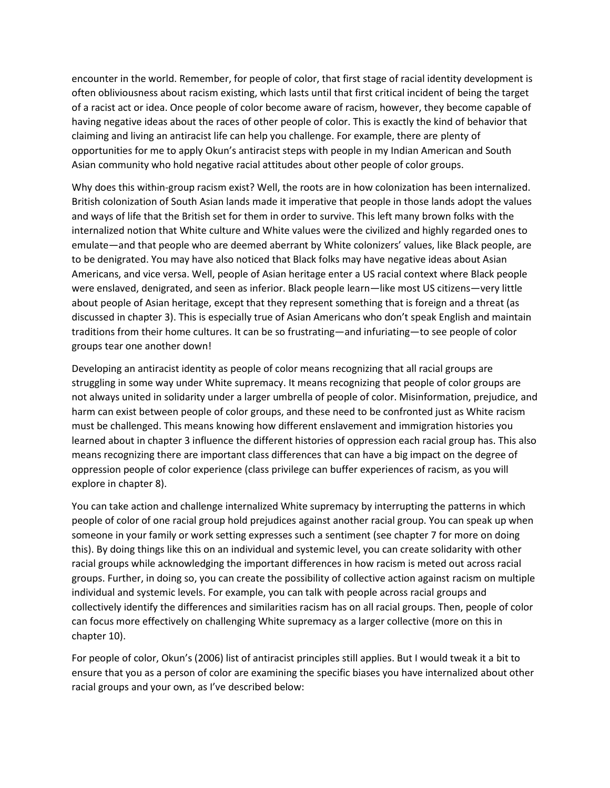encounter in the world. Remember, for people of color, that first stage of racial identity development is often obliviousness about racism existing, which lasts until that first critical incident of being the target of a racist act or idea. Once people of color become aware of racism, however, they become capable of having negative ideas about the races of other people of color. This is exactly the kind of behavior that claiming and living an antiracist life can help you challenge. For example, there are plenty of opportunities for me to apply Okun's antiracist steps with people in my Indian American and South Asian community who hold negative racial attitudes about other people of color groups.

Why does this within-group racism exist? Well, the roots are in how colonization has been internalized. British colonization of South Asian lands made it imperative that people in those lands adopt the values and ways of life that the British set for them in order to survive. This left many brown folks with the internalized notion that White culture and White values were the civilized and highly regarded ones to emulate—and that people who are deemed aberrant by White colonizers' values, like Black people, are to be denigrated. You may have also noticed that Black folks may have negative ideas about Asian Americans, and vice versa. Well, people of Asian heritage enter a US racial context where Black people were enslaved, denigrated, and seen as inferior. Black people learn—like most US citizens—very little about people of Asian heritage, except that they represent something that is foreign and a threat (as discussed in chapter 3). This is especially true of Asian Americans who don't speak English and maintain traditions from their home cultures. It can be so frustrating—and infuriating—to see people of color groups tear one another down!

Developing an antiracist identity as people of color means recognizing that all racial groups are struggling in some way under White supremacy. It means recognizing that people of color groups are not always united in solidarity under a larger umbrella of people of color. Misinformation, prejudice, and harm can exist between people of color groups, and these need to be confronted just as White racism must be challenged. This means knowing how different enslavement and immigration histories you learned about in chapter 3 influence the different histories of oppression each racial group has. This also means recognizing there are important class differences that can have a big impact on the degree of oppression people of color experience (class privilege can buffer experiences of racism, as you will explore in chapter 8).

You can take action and challenge internalized White supremacy by interrupting the patterns in which people of color of one racial group hold prejudices against another racial group. You can speak up when someone in your family or work setting expresses such a sentiment (see chapter 7 for more on doing this). By doing things like this on an individual and systemic level, you can create solidarity with other racial groups while acknowledging the important differences in how racism is meted out across racial groups. Further, in doing so, you can create the possibility of collective action against racism on multiple individual and systemic levels. For example, you can talk with people across racial groups and collectively identify the differences and similarities racism has on all racial groups. Then, people of color can focus more effectively on challenging White supremacy as a larger collective (more on this in chapter 10).

For people of color, Okun's (2006) list of antiracist principles still applies. But I would tweak it a bit to ensure that you as a person of color are examining the specific biases you have internalized about other racial groups and your own, as I've described below: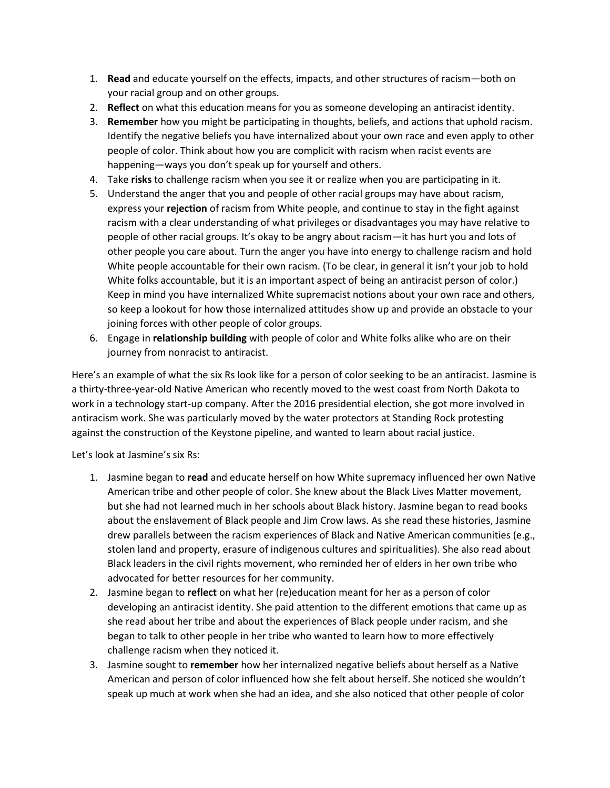- 1. **Read** and educate yourself on the effects, impacts, and other structures of racism—both on your racial group and on other groups.
- 2. **Reflect** on what this education means for you as someone developing an antiracist identity.
- 3. **Remember** how you might be participating in thoughts, beliefs, and actions that uphold racism. Identify the negative beliefs you have internalized about your own race and even apply to other people of color. Think about how you are complicit with racism when racist events are happening—ways you don't speak up for yourself and others.
- 4. Take **risks** to challenge racism when you see it or realize when you are participating in it.
- 5. Understand the anger that you and people of other racial groups may have about racism, express your **rejection** of racism from White people, and continue to stay in the fight against racism with a clear understanding of what privileges or disadvantages you may have relative to people of other racial groups. It's okay to be angry about racism—it has hurt you and lots of other people you care about. Turn the anger you have into energy to challenge racism and hold White people accountable for their own racism. (To be clear, in general it isn't your job to hold White folks accountable, but it is an important aspect of being an antiracist person of color.) Keep in mind you have internalized White supremacist notions about your own race and others, so keep a lookout for how those internalized attitudes show up and provide an obstacle to your joining forces with other people of color groups.
- 6. Engage in **relationship building** with people of color and White folks alike who are on their journey from nonracist to antiracist.

Here's an example of what the six Rs look like for a person of color seeking to be an antiracist. Jasmine is a thirty-three-year-old Native American who recently moved to the west coast from North Dakota to work in a technology start-up company. After the 2016 presidential election, she got more involved in antiracism work. She was particularly moved by the water protectors at Standing Rock protesting against the construction of the Keystone pipeline, and wanted to learn about racial justice.

Let's look at Jasmine's six Rs:

- 1. Jasmine began to **read** and educate herself on how White supremacy influenced her own Native American tribe and other people of color. She knew about the Black Lives Matter movement, but she had not learned much in her schools about Black history. Jasmine began to read books about the enslavement of Black people and Jim Crow laws. As she read these histories, Jasmine drew parallels between the racism experiences of Black and Native American communities (e.g., stolen land and property, erasure of indigenous cultures and spiritualities). She also read about Black leaders in the civil rights movement, who reminded her of elders in her own tribe who advocated for better resources for her community.
- 2. Jasmine began to **reflect** on what her (re)education meant for her as a person of color developing an antiracist identity. She paid attention to the different emotions that came up as she read about her tribe and about the experiences of Black people under racism, and she began to talk to other people in her tribe who wanted to learn how to more effectively challenge racism when they noticed it.
- 3. Jasmine sought to **remember** how her internalized negative beliefs about herself as a Native American and person of color influenced how she felt about herself. She noticed she wouldn't speak up much at work when she had an idea, and she also noticed that other people of color